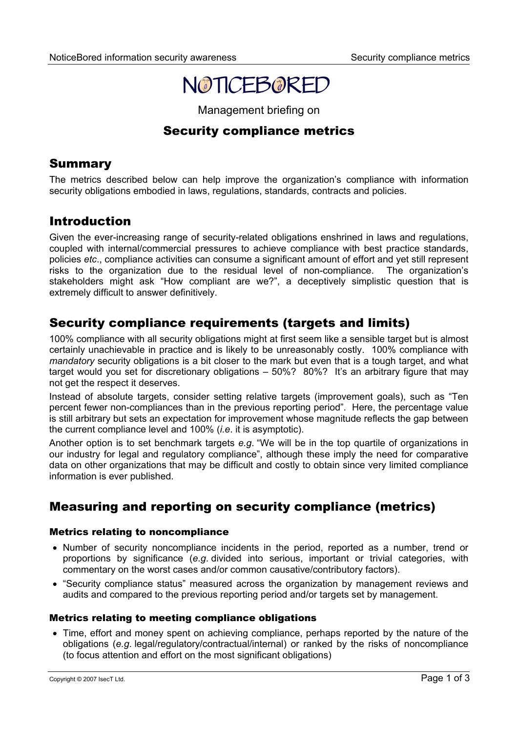

Management briefing on

# Security compliance metrics

## Summary

The metrics described below can help improve the organization's compliance with information security obligations embodied in laws, regulations, standards, contracts and policies.

### Introduction

Given the ever-increasing range of security-related obligations enshrined in laws and regulations, coupled with internal/commercial pressures to achieve compliance with best practice standards, policies *etc*., compliance activities can consume a significant amount of effort and yet still represent risks to the organization due to the residual level of non-compliance. The organization's stakeholders might ask "How compliant are we?", a deceptively simplistic question that is extremely difficult to answer definitively.

## Security compliance requirements (targets and limits)

100% compliance with all security obligations might at first seem like a sensible target but is almost certainly unachievable in practice and is likely to be unreasonably costly. 100% compliance with *mandatory* security obligations is a bit closer to the mark but even that is a tough target, and what target would you set for discretionary obligations – 50%? 80%? It's an arbitrary figure that may not get the respect it deserves.

Instead of absolute targets, consider setting relative targets (improvement goals), such as "Ten percent fewer non-compliances than in the previous reporting period". Here, the percentage value is still arbitrary but sets an expectation for improvement whose magnitude reflects the gap between the current compliance level and 100% (*i.e*. it is asymptotic).

Another option is to set benchmark targets *e.g*. "We will be in the top quartile of organizations in our industry for legal and regulatory compliance", although these imply the need for comparative data on other organizations that may be difficult and costly to obtain since very limited compliance information is ever published.

# Measuring and reporting on security compliance (metrics)

#### Metrics relating to noncompliance

- Number of security noncompliance incidents in the period, reported as a number, trend or proportions by significance (*e.g*. divided into serious, important or trivial categories, with commentary on the worst cases and/or common causative/contributory factors).
- "Security compliance status" measured across the organization by management reviews and audits and compared to the previous reporting period and/or targets set by management.

#### Metrics relating to meeting compliance obligations

• Time, effort and money spent on achieving compliance, perhaps reported by the nature of the obligations (*e.g*. legal/regulatory/contractual/internal) or ranked by the risks of noncompliance (to focus attention and effort on the most significant obligations)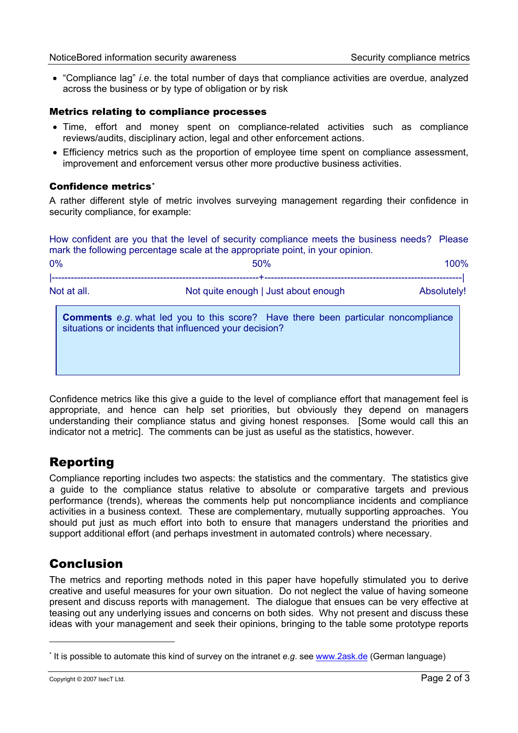• "Compliance lag" *i.e*. the total number of days that compliance activities are overdue, analyzed across the business or by type of obligation or by risk

#### Metrics relating to compliance processes

- Time, effort and money spent on compliance-related activities such as compliance reviews/audits, disciplinary action, legal and other enforcement actions.
- Efficiency metrics such as the proportion of employee time spent on compliance assessment, improvement and enforcement versus other more productive business activities.

#### Confidence metrics[\\*](#page-1-0)

A rather different style of metric involves surveying management regarding their confidence in security compliance, for example:

How confident are you that the level of security compliance meets the business needs? Please mark the following percentage scale at the appropriate point, in your opinion.

| 0%          | 50%                                                                                                                                                 | 100%        |
|-------------|-----------------------------------------------------------------------------------------------------------------------------------------------------|-------------|
| Not at all. | Not quite enough   Just about enough                                                                                                                | Absolutely! |
|             | <b>Comments</b> e.g. what led you to this score? Have there been particular noncompliance<br>situations or incidents that influenced your decision? |             |

Confidence metrics like this give a guide to the level of compliance effort that management feel is appropriate, and hence can help set priorities, but obviously they depend on managers understanding their compliance status and giving honest responses. [Some would call this an indicator not a metric]. The comments can be just as useful as the statistics, however.

### Reporting

Compliance reporting includes two aspects: the statistics and the commentary. The statistics give a guide to the compliance status relative to absolute or comparative targets and previous performance (trends), whereas the comments help put noncompliance incidents and compliance activities in a business context. These are complementary, mutually supporting approaches. You should put just as much effort into both to ensure that managers understand the priorities and support additional effort (and perhaps investment in automated controls) where necessary.

### Conclusion

The metrics and reporting methods noted in this paper have hopefully stimulated you to derive creative and useful measures for your own situation. Do not neglect the value of having someone present and discuss reports with management. The dialogue that ensues can be very effective at teasing out any underlying issues and concerns on both sides. Why not present and discuss these ideas with your management and seek their opinions, bringing to the table some prototype reports

 $\overline{a}$ 

<span id="page-1-0"></span><sup>\*</sup> It is possible to automate this kind of survey on the intranet *e.g*. see [www.2ask.de](http://www.2ask.de/) (German language)